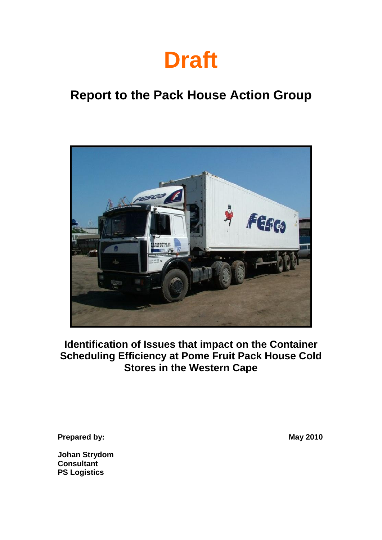

# **Report to the Pack House Action Group**



**Identification of Issues that impact on the Container Scheduling Efficiency at Pome Fruit Pack House Cold Stores in the Western Cape**

**Prepared by: May 2010** 

**Johan Strydom Consultant PS Logistics**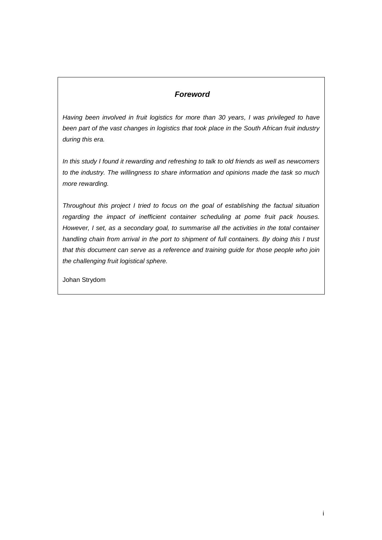### *Foreword*

*Having been involved in fruit logistics for more than 30 years, I was privileged to have been part of the vast changes in logistics that took place in the South African fruit industry during this era.*

*In this study I found it rewarding and refreshing to talk to old friends as well as newcomers to the industry. The willingness to share information and opinions made the task so much more rewarding.*

*Throughout this project I tried to focus on the goal of establishing the factual situation regarding the impact of inefficient container scheduling at pome fruit pack houses. However, I set, as a secondary goal, to summarise all the activities in the total container handling chain from arrival in the port to shipment of full containers. By doing this I trust that this document can serve as a reference and training guide for those people who join the challenging fruit logistical sphere.*

Johan Strydom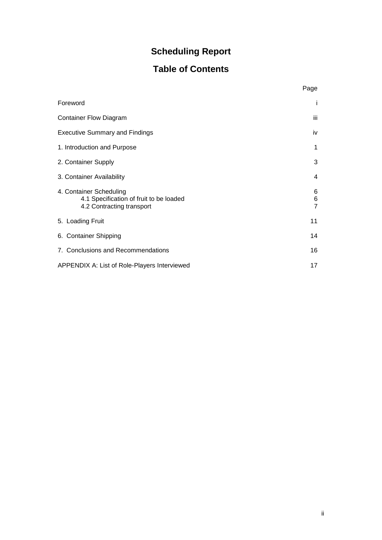### **Scheduling Report**

### **Table of Contents**

|                                                                                                 | Page                     |
|-------------------------------------------------------------------------------------------------|--------------------------|
| Foreword                                                                                        | i                        |
| <b>Container Flow Diagram</b>                                                                   | iii                      |
| <b>Executive Summary and Findings</b>                                                           | iv                       |
| 1. Introduction and Purpose                                                                     | 1                        |
| 2. Container Supply                                                                             | 3                        |
| 3. Container Availability                                                                       | 4                        |
| 4. Container Scheduling<br>4.1 Specification of fruit to be loaded<br>4.2 Contracting transport | 6<br>6<br>$\overline{7}$ |
| 5. Loading Fruit                                                                                | 11                       |
| 6. Container Shipping                                                                           | 14                       |
| 7. Conclusions and Recommendations                                                              | 16                       |
| APPENDIX A: List of Role-Players Interviewed                                                    | 17                       |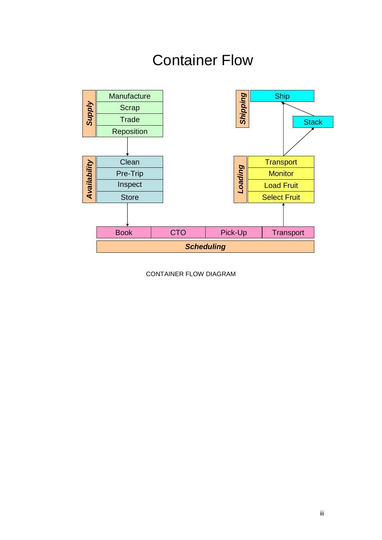# Container Flow



CONTAINER FLOW DIAGRAM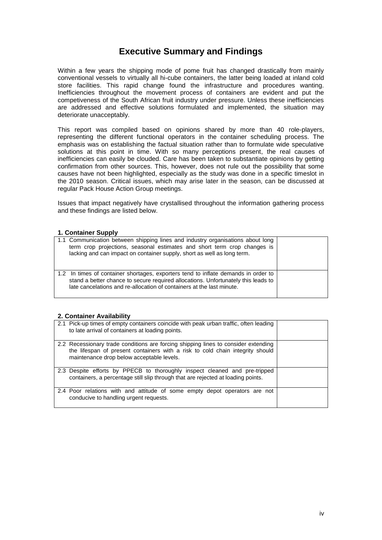### **Executive Summary and Findings**

Within a few years the shipping mode of pome fruit has changed drastically from mainly conventional vessels to virtually all hi-cube containers, the latter being loaded at inland cold store facilities. This rapid change found the infrastructure and procedures wanting. Inefficiencies throughout the movement process of containers are evident and put the competiveness of the South African fruit industry under pressure. Unless these inefficiencies are addressed and effective solutions formulated and implemented, the situation may deteriorate unacceptably.

This report was compiled based on opinions shared by more than 40 role-players, representing the different functional operators in the container scheduling process. The emphasis was on establishing the factual situation rather than to formulate wide speculative solutions at this point in time. With so many perceptions present, the real causes of inefficiencies can easily be clouded. Care has been taken to substantiate opinions by getting confirmation from other sources. This, however, does not rule out the possibility that some causes have not been highlighted, especially as the study was done in a specific timeslot in the 2010 season. Critical issues, which may arise later in the season, can be discussed at regular Pack House Action Group meetings.

Issues that impact negatively have crystallised throughout the information gathering process and these findings are listed below.

#### **1. Container Supply**

| 1.1 Communication between shipping lines and industry organisations about long<br>term crop projections, seasonal estimates and short term crop changes is<br>lacking and can impact on container supply, short as well as long term.            |  |
|--------------------------------------------------------------------------------------------------------------------------------------------------------------------------------------------------------------------------------------------------|--|
| 1.2 In times of container shortages, exporters tend to inflate demands in order to<br>stand a better chance to secure required allocations. Unfortunately this leads to<br>late cancelations and re-allocation of containers at the last minute. |  |

#### **2. Container Availability**

| 2.1 Pick-up times of empty containers coincide with peak urban traffic, often leading<br>to late arrival of containers at loading points.                                                                        |  |
|------------------------------------------------------------------------------------------------------------------------------------------------------------------------------------------------------------------|--|
| 2.2 Recessionary trade conditions are forcing shipping lines to consider extending<br>the lifespan of present containers with a risk to cold chain integrity should<br>maintenance drop below acceptable levels. |  |
| 2.3 Despite efforts by PPECB to thoroughly inspect cleaned and pre-tripped<br>containers, a percentage still slip through that are rejected at loading points.                                                   |  |
| 2.4 Poor relations with and attitude of some empty depot operators are not<br>conducive to handling urgent requests.                                                                                             |  |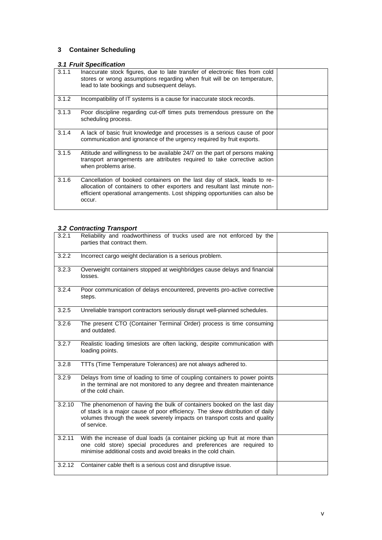### **3 Container Scheduling**

### *3.1 Fruit Specification*

| 3.1.1 | Inaccurate stock figures, due to late transfer of electronic files from cold<br>stores or wrong assumptions regarding when fruit will be on temperature,<br>lead to late bookings and subsequent delays.                                        |  |
|-------|-------------------------------------------------------------------------------------------------------------------------------------------------------------------------------------------------------------------------------------------------|--|
| 3.1.2 | Incompatibility of IT systems is a cause for inaccurate stock records.                                                                                                                                                                          |  |
| 3.1.3 | Poor discipline regarding cut-off times puts tremendous pressure on the<br>scheduling process.                                                                                                                                                  |  |
| 3.1.4 | A lack of basic fruit knowledge and processes is a serious cause of poor<br>communication and ignorance of the urgency required by fruit exports.                                                                                               |  |
| 3.1.5 | Attitude and willingness to be available 24/7 on the part of persons making<br>transport arrangements are attributes required to take corrective action<br>when problems arise.                                                                 |  |
| 3.1.6 | Cancellation of booked containers on the last day of stack, leads to re-<br>allocation of containers to other exporters and resultant last minute non-<br>efficient operational arrangements. Lost shipping opportunities can also be<br>occur. |  |

### *3.2 Contracting Transport*

| 3.2.1  | Reliability and roadworthiness of trucks used are not enforced by the<br>parties that contract them.                                                                                                                                              |  |
|--------|---------------------------------------------------------------------------------------------------------------------------------------------------------------------------------------------------------------------------------------------------|--|
| 3.2.2  | Incorrect cargo weight declaration is a serious problem.                                                                                                                                                                                          |  |
| 3.2.3  | Overweight containers stopped at weighbridges cause delays and financial<br>losses.                                                                                                                                                               |  |
| 3.2.4  | Poor communication of delays encountered, prevents pro-active corrective<br>steps.                                                                                                                                                                |  |
| 3.2.5  | Unreliable transport contractors seriously disrupt well-planned schedules.                                                                                                                                                                        |  |
| 3.2.6  | The present CTO (Container Terminal Order) process is time consuming<br>and outdated.                                                                                                                                                             |  |
| 3.2.7  | Realistic loading timeslots are often lacking, despite communication with<br>loading points.                                                                                                                                                      |  |
| 3.2.8  | TTTs (Time Temperature Tolerances) are not always adhered to.                                                                                                                                                                                     |  |
| 3.2.9  | Delays from time of loading to time of coupling containers to power points<br>in the terminal are not monitored to any degree and threaten maintenance<br>of the cold chain.                                                                      |  |
| 3.2.10 | The phenomenon of having the bulk of containers booked on the last day<br>of stack is a major cause of poor efficiency. The skew distribution of daily<br>volumes through the week severely impacts on transport costs and quality<br>of service. |  |
| 3.2.11 | With the increase of dual loads (a container picking up fruit at more than<br>one cold store) special procedures and preferences are required to<br>minimise additional costs and avoid breaks in the cold chain.                                 |  |
| 3.2.12 | Container cable theft is a serious cost and disruptive issue.                                                                                                                                                                                     |  |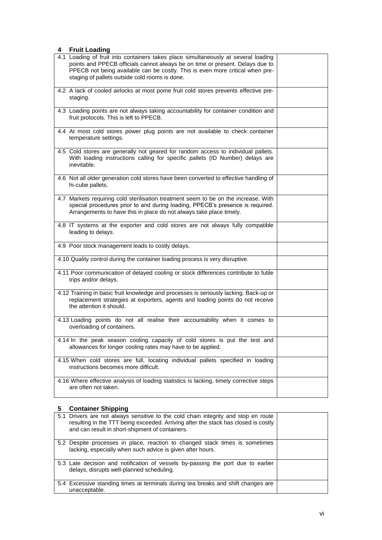#### **4 Fruit Loading**

| = vuuniy<br>4.1 Loading of fruit into containers takes place simultaneously at several loading |  |
|------------------------------------------------------------------------------------------------|--|
| points and PPECB officials cannot always be on time or present. Delays due to                  |  |
| PPECB not being available can be costly. This is even more critical when pre-                  |  |
| staging of pallets outside cold rooms is done.                                                 |  |
|                                                                                                |  |
| 4.2 A lack of cooled airlocks at most pome fruit cold stores prevents effective pre-           |  |
| staging.                                                                                       |  |
|                                                                                                |  |
| 4.3 Loading points are not always taking accountability for container condition and            |  |
| fruit protocols. This is left to PPECB.                                                        |  |
|                                                                                                |  |
| 4.4 At most cold stores power plug points are not available to check container                 |  |
| temperature settings.                                                                          |  |
|                                                                                                |  |
| 4.5 Cold stores are generally not geared for random access to individual pallets.              |  |
| With loading instructions calling for specific pallets (ID Number) delays are<br>inevitable.   |  |
|                                                                                                |  |
| 4.6 Not all older generation cold stores have been converted to effective handling of          |  |
| hi-cube pallets.                                                                               |  |
|                                                                                                |  |
| 4.7 Markets requiring cold sterilisation treatment seem to be on the increase. With            |  |
| special procedures prior to and during loading, PPECB's presence is required.                  |  |
| Arrangements to have this in place do not always take place timely.                            |  |
|                                                                                                |  |
| 4.8 IT systems at the exporter and cold stores are not always fully compatible                 |  |
| leading to delays.                                                                             |  |
|                                                                                                |  |
| 4.9 Poor stock management leads to costly delays.                                              |  |
|                                                                                                |  |
| 4.10 Quality control during the container loading process is very disruptive.                  |  |
| 4.11 Poor communication of delayed cooling or stock differences contribute to futile           |  |
| trips and/or delays.                                                                           |  |
|                                                                                                |  |
| 4.12 Training in basic fruit knowledge and processes is seriously lacking. Back-up or          |  |
| replacement strategies at exporters, agents and loading points do not receive                  |  |
| the attention it should.                                                                       |  |
|                                                                                                |  |
| 4.13 Loading points do not all realise their accountability when it comes to                   |  |
| overloading of containers.                                                                     |  |
|                                                                                                |  |
| 4.14 In the peak season cooling capacity of cold stores is put the test and                    |  |
| allowances for longer cooling rates may have to be applied.                                    |  |
|                                                                                                |  |
| 4.15 When cold stores are full, locating individual pallets specified in loading               |  |
| instructions becomes more difficult.                                                           |  |
|                                                                                                |  |
| 4.16 Where effective analysis of loading statistics is lacking, timely corrective steps        |  |
| are often not taken.                                                                           |  |
|                                                                                                |  |

### **5 Container Shipping**

| 5.1 Drivers are not always sensitive to the cold chain integrity and stop en route<br>resulting in the TTT being exceeded. Arriving after the stack has closed is costly<br>and can result in short-shipment of containers. |  |
|-----------------------------------------------------------------------------------------------------------------------------------------------------------------------------------------------------------------------------|--|
| 5.2 Despite processes in place, reaction to changed stack times is sometimes<br>lacking, especially when such advice is given after hours.                                                                                  |  |
| 5.3 Late decision and notification of vessels by-passing the port due to earlier<br>delays, disrupts well-planned scheduling.                                                                                               |  |
| 5.4 Excessive standing times at terminals during tea breaks and shift changes are<br>unacceptable.                                                                                                                          |  |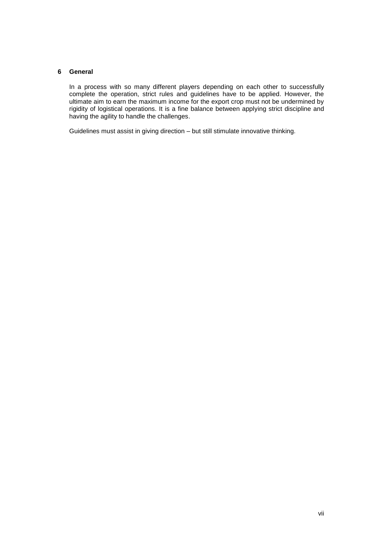#### **6 General**

In a process with so many different players depending on each other to successfully complete the operation, strict rules and guidelines have to be applied. However, the ultimate aim to earn the maximum income for the export crop must not be undermined by rigidity of logistical operations. It is a fine balance between applying strict discipline and having the agility to handle the challenges.

Guidelines must assist in giving direction – but still stimulate innovative thinking.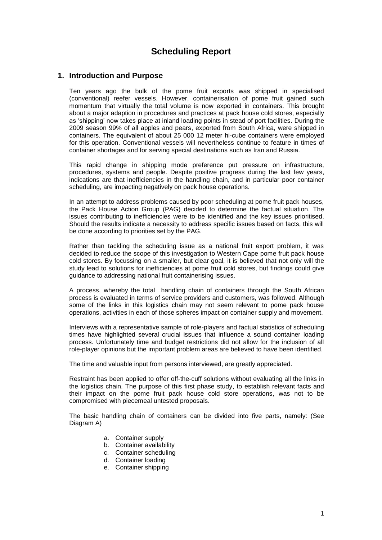### **Scheduling Report**

### **1. Introduction and Purpose**

Ten years ago the bulk of the pome fruit exports was shipped in specialised (conventional) reefer vessels. However, containerisation of pome fruit gained such momentum that virtually the total volume is now exported in containers. This brought about a major adaption in procedures and practices at pack house cold stores, especially as 'shipping' now takes place at inland loading points in stead of port facilities. During the 2009 season 99% of all apples and pears, exported from South Africa, were shipped in containers. The equivalent of about 25 000 12 meter hi-cube containers were employed for this operation. Conventional vessels will nevertheless continue to feature in times of container shortages and for serving special destinations such as Iran and Russia.

This rapid change in shipping mode preference put pressure on infrastructure, procedures, systems and people. Despite positive progress during the last few years, indications are that inefficiencies in the handling chain, and in particular poor container scheduling, are impacting negatively on pack house operations.

In an attempt to address problems caused by poor scheduling at pome fruit pack houses, the Pack House Action Group (PAG) decided to determine the factual situation. The issues contributing to inefficiencies were to be identified and the key issues prioritised. Should the results indicate a necessity to address specific issues based on facts, this will be done according to priorities set by the PAG.

Rather than tackling the scheduling issue as a national fruit export problem, it was decided to reduce the scope of this investigation to Western Cape pome fruit pack house cold stores. By focussing on a smaller, but clear goal, it is believed that not only will the study lead to solutions for inefficiencies at pome fruit cold stores, but findings could give guidance to addressing national fruit containerising issues.

A process, whereby the total handling chain of containers through the South African process is evaluated in terms of service providers and customers, was followed. Although some of the links in this logistics chain may not seem relevant to pome pack house operations, activities in each of those spheres impact on container supply and movement.

Interviews with a representative sample of role-players and factual statistics of scheduling times have highlighted several crucial issues that influence a sound container loading process. Unfortunately time and budget restrictions did not allow for the inclusion of all role-player opinions but the important problem areas are believed to have been identified.

The time and valuable input from persons interviewed, are greatly appreciated.

Restraint has been applied to offer off-the-cuff solutions without evaluating all the links in the logistics chain. The purpose of this first phase study, to establish relevant facts and their impact on the pome fruit pack house cold store operations, was not to be compromised with piecemeal untested proposals.

The basic handling chain of containers can be divided into five parts, namely: (See Diagram A)

- a. Container supply
- b. Container availability
- c. Container scheduling
- d. Container loading
- e. Container shipping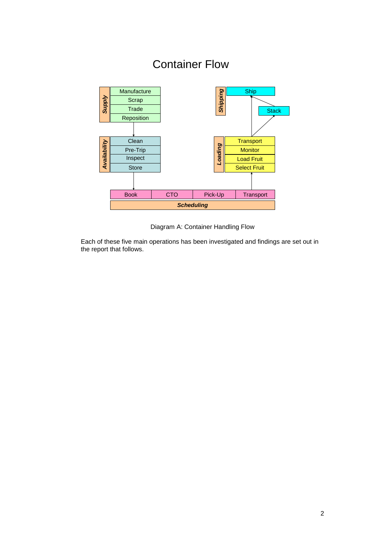## Container Flow



Diagram A: Container Handling Flow

Each of these five main operations has been investigated and findings are set out in the report that follows.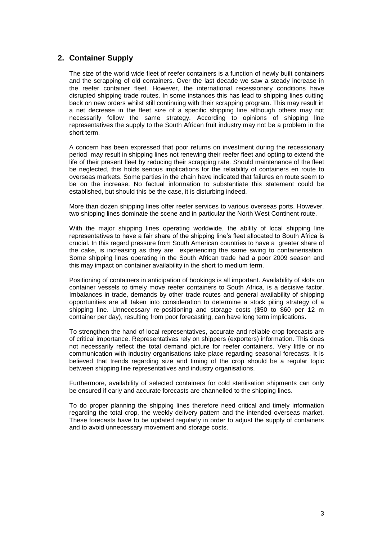### **2. Container Supply**

The size of the world wide fleet of reefer containers is a function of newly built containers and the scrapping of old containers. Over the last decade we saw a steady increase in the reefer container fleet. However, the international recessionary conditions have disrupted shipping trade routes. In some instances this has lead to shipping lines cutting back on new orders whilst still continuing with their scrapping program. This may result in a net decrease in the fleet size of a specific shipping line although others may not necessarily follow the same strategy. According to opinions of shipping line representatives the supply to the South African fruit industry may not be a problem in the short term.

A concern has been expressed that poor returns on investment during the recessionary period may result in shipping lines not renewing their reefer fleet and opting to extend the life of their present fleet by reducing their scrapping rate. Should maintenance of the fleet be neglected, this holds serious implications for the reliability of containers en route to overseas markets. Some parties in the chain have indicated that failures en route seem to be on the increase. No factual information to substantiate this statement could be established, but should this be the case, it is disturbing indeed.

More than dozen shipping lines offer reefer services to various overseas ports. However, two shipping lines dominate the scene and in particular the North West Continent route.

With the major shipping lines operating worldwide, the ability of local shipping line representatives to have a fair share of the shipping line's fleet allocated to South Africa is crucial. In this regard pressure from South American countries to have a greater share of the cake, is increasing as they are experiencing the same swing to containerisation. Some shipping lines operating in the South African trade had a poor 2009 season and this may impact on container availability in the short to medium term.

Positioning of containers in anticipation of bookings is all important. Availability of slots on container vessels to timely move reefer containers to South Africa, is a decisive factor. Imbalances in trade, demands by other trade routes and general availability of shipping opportunities are all taken into consideration to determine a stock piling strategy of a shipping line. Unnecessary re-positioning and storage costs (\$50 to \$60 per 12 m container per day), resulting from poor forecasting, can have long term implications.

To strengthen the hand of local representatives, accurate and reliable crop forecasts are of critical importance. Representatives rely on shippers (exporters) information. This does not necessarily reflect the total demand picture for reefer containers. Very little or no communication with industry organisations take place regarding seasonal forecasts. It is believed that trends regarding size and timing of the crop should be a regular topic between shipping line representatives and industry organisations.

Furthermore, availability of selected containers for cold sterilisation shipments can only be ensured if early and accurate forecasts are channelled to the shipping lines.

To do proper planning the shipping lines therefore need critical and timely information regarding the total crop, the weekly delivery pattern and the intended overseas market. These forecasts have to be updated regularly in order to adjust the supply of containers and to avoid unnecessary movement and storage costs.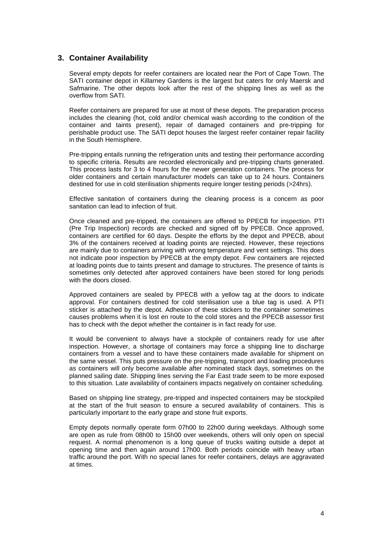### **3. Container Availability**

Several empty depots for reefer containers are located near the Port of Cape Town. The SATI container depot in Killarney Gardens is the largest but caters for only Maersk and Safmarine. The other depots look after the rest of the shipping lines as well as the overflow from SATI.

Reefer containers are prepared for use at most of these depots. The preparation process includes the cleaning (hot, cold and/or chemical wash according to the condition of the container and taints present), repair of damaged containers and pre-tripping for perishable product use. The SATI depot houses the largest reefer container repair facility in the South Hemisphere.

Pre-tripping entails running the refrigeration units and testing their performance according to specific criteria. Results are recorded electronically and pre-tripping charts generated. This process lasts for 3 to 4 hours for the newer generation containers. The process for older containers and certain manufacturer models can take up to 24 hours. Containers destined for use in cold sterilisation shipments require longer testing periods (>24hrs).

Effective sanitation of containers during the cleaning process is a concern as poor sanitation can lead to infection of fruit.

Once cleaned and pre-tripped, the containers are offered to PPECB for inspection. PTI (Pre Trip Inspection) records are checked and signed off by PPECB. Once approved, containers are certified for 60 days. Despite the efforts by the depot and PPECB, about 3% of the containers received at loading points are rejected. However, these rejections are mainly due to containers arriving with wrong temperature and vent settings. This does not indicate poor inspection by PPECB at the empty depot. Few containers are rejected at loading points due to taints present and damage to structures. The presence of taints is sometimes only detected after approved containers have been stored for long periods with the doors closed.

Approved containers are sealed by PPECB with a yellow tag at the doors to indicate approval. For containers destined for cold sterilisation use a blue tag is used. A PTI sticker is attached by the depot. Adhesion of these stickers to the container sometimes causes problems when it is lost en route to the cold stores and the PPECB assessor first has to check with the depot whether the container is in fact ready for use.

It would be convenient to always have a stockpile of containers ready for use after inspection. However, a shortage of containers may force a shipping line to discharge containers from a vessel and to have these containers made available for shipment on the same vessel. This puts pressure on the pre-tripping, transport and loading procedures as containers will only become available after nominated stack days, sometimes on the planned sailing date. Shipping lines serving the Far East trade seem to be more exposed to this situation. Late availability of containers impacts negatively on container scheduling.

Based on shipping line strategy, pre-tripped and inspected containers may be stockpiled at the start of the fruit season to ensure a secured availability of containers. This is particularly important to the early grape and stone fruit exports.

Empty depots normally operate form 07h00 to 22h00 during weekdays. Although some are open as rule from 08h00 to 15h00 over weekends, others will only open on special request. A normal phenomenon is a long queue of trucks waiting outside a depot at opening time and then again around 17h00. Both periods coincide with heavy urban traffic around the port. With no special lanes for reefer containers, delays are aggravated at times.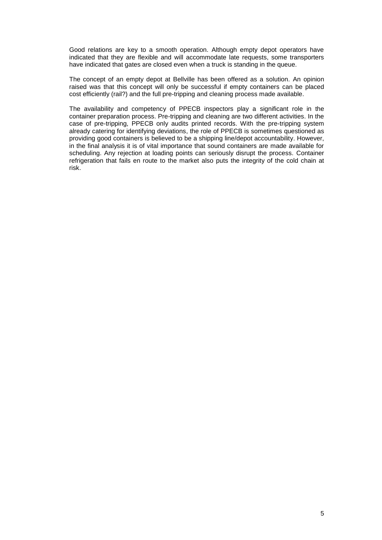Good relations are key to a smooth operation. Although empty depot operators have indicated that they are flexible and will accommodate late requests, some transporters have indicated that gates are closed even when a truck is standing in the queue.

The concept of an empty depot at Bellville has been offered as a solution. An opinion raised was that this concept will only be successful if empty containers can be placed cost efficiently (rail?) and the full pre-tripping and cleaning process made available.

The availability and competency of PPECB inspectors play a significant role in the container preparation process. Pre-tripping and cleaning are two different activities. In the case of pre-tripping, PPECB only audits printed records. With the pre-tripping system already catering for identifying deviations, the role of PPECB is sometimes questioned as providing good containers is believed to be a shipping line/depot accountability. However, in the final analysis it is of vital importance that sound containers are made available for scheduling. Any rejection at loading points can seriously disrupt the process. Container refrigeration that fails en route to the market also puts the integrity of the cold chain at risk.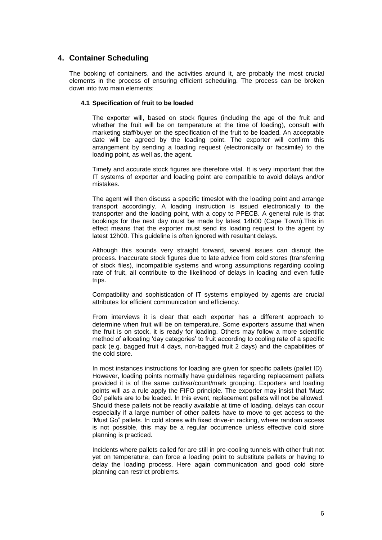### **4. Container Scheduling**

The booking of containers, and the activities around it, are probably the most crucial elements in the process of ensuring efficient scheduling. The process can be broken down into two main elements:

### **4.1 Specification of fruit to be loaded**

The exporter will, based on stock figures (including the age of the fruit and whether the fruit will be on temperature at the time of loading), consult with marketing staff/buyer on the specification of the fruit to be loaded. An acceptable date will be agreed by the loading point. The exporter will confirm this arrangement by sending a loading request (electronically or facsimile) to the loading point, as well as, the agent.

Timely and accurate stock figures are therefore vital. It is very important that the IT systems of exporter and loading point are compatible to avoid delays and/or mistakes.

The agent will then discuss a specific timeslot with the loading point and arrange transport accordingly. A loading instruction is issued electronically to the transporter and the loading point, with a copy to PPECB. A general rule is that bookings for the next day must be made by latest 14h00 (Cape Town).This in effect means that the exporter must send its loading request to the agent by latest 12h00. This guideline is often ignored with resultant delays.

Although this sounds very straight forward, several issues can disrupt the process. Inaccurate stock figures due to late advice from cold stores (transferring of stock files), incompatible systems and wrong assumptions regarding cooling rate of fruit, all contribute to the likelihood of delays in loading and even futile trips.

Compatibility and sophistication of IT systems employed by agents are crucial attributes for efficient communication and efficiency.

From interviews it is clear that each exporter has a different approach to determine when fruit will be on temperature. Some exporters assume that when the fruit is on stock, it is ready for loading. Others may follow a more scientific method of allocating 'day categories' to fruit according to cooling rate of a specific pack (e.g. bagged fruit 4 days, non-bagged fruit 2 days) and the capabilities of the cold store.

In most instances instructions for loading are given for specific pallets (pallet ID). However, loading points normally have guidelines regarding replacement pallets provided it is of the same cultivar/count/mark grouping. Exporters and loading points will as a rule apply the FIFO principle. The exporter may insist that 'Must Go' pallets are to be loaded. In this event, replacement pallets will not be allowed. Should these pallets not be readily available at time of loading, delays can occur especially if a large number of other pallets have to move to get access to the 'Must Go" pallets. In cold stores with fixed drive-in racking, where random access is not possible, this may be a regular occurrence unless effective cold store planning is practiced.

Incidents where pallets called for are still in pre-cooling tunnels with other fruit not yet on temperature, can force a loading point to substitute pallets or having to delay the loading process. Here again communication and good cold store planning can restrict problems.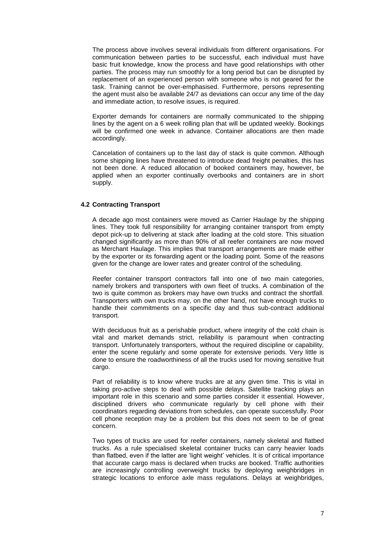The process above involves several individuals from different organisations. For communication between parties to be successful, each individual must have basic fruit knowledge, know the process and have good relationships with other parties. The process may run smoothly for a long period but can be disrupted by replacement of an experienced person with someone who is not geared for the task. Training cannot be over-emphasised. Furthermore, persons representing the agent must also be available 24/7 as deviations can occur any time of the day and immediate action, to resolve issues, is required.

Exporter demands for containers are normally communicated to the shipping lines by the agent on a 6 week rolling plan that will be updated weekly. Bookings will be confirmed one week in advance. Container allocations are then made accordingly.

Cancelation of containers up to the last day of stack is quite common. Although some shipping lines have threatened to introduce dead freight penalties, this has not been done. A reduced allocation of booked containers may, however, be applied when an exporter continually overbooks and containers are in short supply.

#### **4.2 Contracting Transport**

A decade ago most containers were moved as Carrier Haulage by the shipping lines. They took full responsibility for arranging container transport from empty depot pick-up to delivering at stack after loading at the cold store. This situation changed significantly as more than 90% of all reefer containers are now moved as Merchant Haulage. This implies that transport arrangements are made either by the exporter or its forwarding agent or the loading point. Some of the reasons given for the change are lower rates and greater control of the scheduling.

Reefer container transport contractors fall into one of two main categories, namely brokers and transporters with own fleet of trucks. A combination of the two is quite common as brokers may have own trucks and contract the shortfall. Transporters with own trucks may, on the other hand, not have enough trucks to handle their commitments on a specific day and thus sub-contract additional transport.

With deciduous fruit as a perishable product, where integrity of the cold chain is vital and market demands strict, reliability is paramount when contracting transport. Unfortunately transporters, without the required discipline or capability, enter the scene regularly and some operate for extensive periods. Very little is done to ensure the roadworthiness of all the trucks used for moving sensitive fruit cargo.

Part of reliability is to know where trucks are at any given time. This is vital in taking pro-active steps to deal with possible delays. Satellite tracking plays an important role in this scenario and some parties consider it essential. However, disciplined drivers who communicate regularly by cell phone with their coordinators regarding deviations from schedules, can operate successfully. Poor cell phone reception may be a problem but this does not seem to be of great concern.

Two types of trucks are used for reefer containers, namely skeletal and flatbed trucks. As a rule specialised skeletal container trucks can carry heavier loads than flatbed, even if the latter are 'light weight' vehicles. It is of critical importance that accurate cargo mass is declared when trucks are booked. Traffic authorities are increasingly controlling overweight trucks by deploying weighbridges in strategic locations to enforce axle mass regulations. Delays at weighbridges,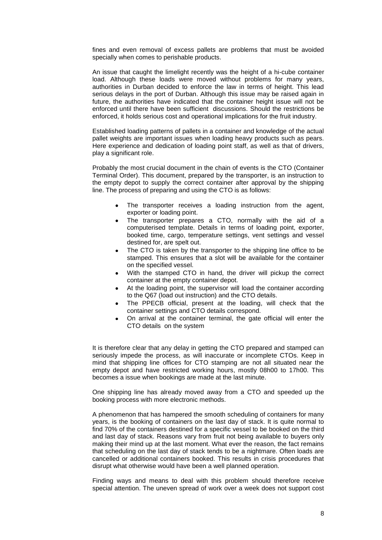fines and even removal of excess pallets are problems that must be avoided specially when comes to perishable products.

An issue that caught the limelight recently was the height of a hi-cube container load. Although these loads were moved without problems for many years, authorities in Durban decided to enforce the law in terms of height. This lead serious delays in the port of Durban. Although this issue may be raised again in future, the authorities have indicated that the container height issue will not be enforced until there have been sufficient discussions. Should the restrictions be enforced, it holds serious cost and operational implications for the fruit industry.

Established loading patterns of pallets in a container and knowledge of the actual pallet weights are important issues when loading heavy products such as pears. Here experience and dedication of loading point staff, as well as that of drivers, play a significant role.

Probably the most crucial document in the chain of events is the CTO (Container Terminal Order). This document, prepared by the transporter, is an instruction to the empty depot to supply the correct container after approval by the shipping line. The process of preparing and using the CTO is as follows:

- The transporter receives a loading instruction from the agent, exporter or loading point.
- The transporter prepares a CTO, normally with the aid of a computerised template. Details in terms of loading point, exporter, booked time, cargo, temperature settings, vent settings and vessel destined for, are spelt out.
- The CTO is taken by the transporter to the shipping line office to be stamped. This ensures that a slot will be available for the container on the specified vessel.
- With the stamped CTO in hand, the driver will pickup the correct container at the empty container depot.
- At the loading point, the supervisor will load the container according to the Q67 (load out instruction) and the CTO details.
- The PPECB official, present at the loading, will check that the container settings and CTO details correspond.
- On arrival at the container terminal, the gate official will enter the CTO details on the system

It is therefore clear that any delay in getting the CTO prepared and stamped can seriously impede the process, as will inaccurate or incomplete CTOs. Keep in mind that shipping line offices for CTO stamping are not all situated near the empty depot and have restricted working hours, mostly 08h00 to 17h00. This becomes a issue when bookings are made at the last minute.

One shipping line has already moved away from a CTO and speeded up the booking process with more electronic methods.

A phenomenon that has hampered the smooth scheduling of containers for many years, is the booking of containers on the last day of stack. It is quite normal to find 70% of the containers destined for a specific vessel to be booked on the third and last day of stack. Reasons vary from fruit not being available to buyers only making their mind up at the last moment. What ever the reason, the fact remains that scheduling on the last day of stack tends to be a nightmare. Often loads are cancelled or additional containers booked. This results in crisis procedures that disrupt what otherwise would have been a well planned operation.

Finding ways and means to deal with this problem should therefore receive special attention. The uneven spread of work over a week does not support cost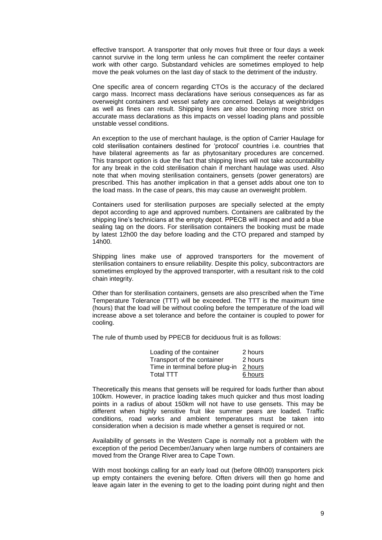effective transport. A transporter that only moves fruit three or four days a week cannot survive in the long term unless he can compliment the reefer container work with other cargo. Substandard vehicles are sometimes employed to help move the peak volumes on the last day of stack to the detriment of the industry.

One specific area of concern regarding CTOs is the accuracy of the declared cargo mass. Incorrect mass declarations have serious consequences as far as overweight containers and vessel safety are concerned. Delays at weighbridges as well as fines can result. Shipping lines are also becoming more strict on accurate mass declarations as this impacts on vessel loading plans and possible unstable vessel conditions.

An exception to the use of merchant haulage, is the option of Carrier Haulage for cold sterilisation containers destined for 'protocol' countries i.e. countries that have bilateral agreements as far as phytosanitary procedures are concerned. This transport option is due the fact that shipping lines will not take accountability for any break in the cold sterilisation chain if merchant haulage was used. Also note that when moving sterilisation containers, gensets (power generators) are prescribed. This has another implication in that a genset adds about one ton to the load mass. In the case of pears, this may cause an overweight problem.

Containers used for sterilisation purposes are specially selected at the empty depot according to age and approved numbers. Containers are calibrated by the shipping line's technicians at the empty depot. PPECB will inspect and add a blue sealing tag on the doors. For sterilisation containers the booking must be made by latest 12h00 the day before loading and the CTO prepared and stamped by 14h00.

Shipping lines make use of approved transporters for the movement of sterilisation containers to ensure reliability. Despite this policy, subcontractors are sometimes employed by the approved transporter, with a resultant risk to the cold chain integrity.

Other than for sterilisation containers, gensets are also prescribed when the Time Temperature Tolerance (TTT) will be exceeded. The TTT is the maximum time (hours) that the load will be without cooling before the temperature of the load will increase above a set tolerance and before the container is coupled to power for cooling.

The rule of thumb used by PPECB for deciduous fruit is as follows:

| Loading of the container        | 2 hours |
|---------------------------------|---------|
| Transport of the container      | 2 hours |
| Time in terminal before plug-in | 2 hours |
| Total TTT                       | 6 hours |

Theoretically this means that gensets will be required for loads further than about 100km. However, in practice loading takes much quicker and thus most loading points in a radius of about 150km will not have to use gensets. This may be different when highly sensitive fruit like summer pears are loaded. Traffic conditions, road works and ambient temperatures must be taken into consideration when a decision is made whether a genset is required or not.

Availability of gensets in the Western Cape is normally not a problem with the exception of the period December/January when large numbers of containers are moved from the Orange River area to Cape Town.

With most bookings calling for an early load out (before 08h00) transporters pick up empty containers the evening before. Often drivers will then go home and leave again later in the evening to get to the loading point during night and then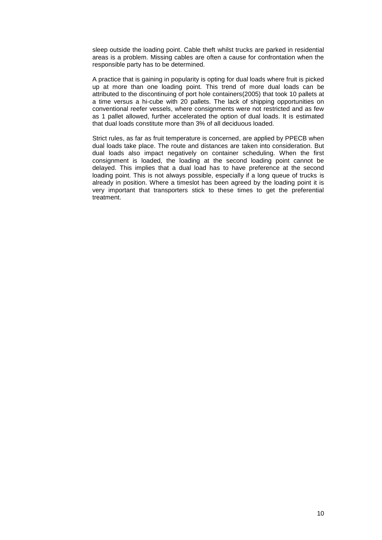sleep outside the loading point. Cable theft whilst trucks are parked in residential areas is a problem. Missing cables are often a cause for confrontation when the responsible party has to be determined.

A practice that is gaining in popularity is opting for dual loads where fruit is picked up at more than one loading point. This trend of more dual loads can be attributed to the discontinuing of port hole containers(2005) that took 10 pallets at a time versus a hi-cube with 20 pallets. The lack of shipping opportunities on conventional reefer vessels, where consignments were not restricted and as few as 1 pallet allowed, further accelerated the option of dual loads. It is estimated that dual loads constitute more than 3% of all deciduous loaded.

Strict rules, as far as fruit temperature is concerned, are applied by PPECB when dual loads take place. The route and distances are taken into consideration. But dual loads also impact negatively on container scheduling. When the first consignment is loaded, the loading at the second loading point cannot be delayed. This implies that a dual load has to have preference at the second loading point. This is not always possible, especially if a long queue of trucks is already in position. Where a timeslot has been agreed by the loading point it is very important that transporters stick to these times to get the preferential treatment.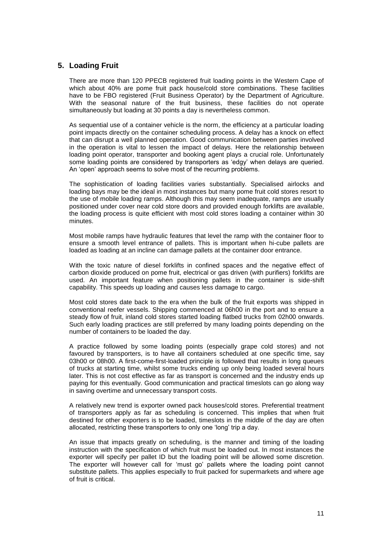### **5. Loading Fruit**

There are more than 120 PPECB registered fruit loading points in the Western Cape of which about 40% are pome fruit pack house/cold store combinations. These facilities have to be FBO registered (Fruit Business Operator) by the Department of Agriculture. With the seasonal nature of the fruit business, these facilities do not operate simultaneously but loading at 30 points a day is nevertheless common.

As sequential use of a container vehicle is the norm, the efficiency at a particular loading point impacts directly on the container scheduling process. A delay has a knock on effect that can disrupt a well planned operation. Good communication between parties involved in the operation is vital to lessen the impact of delays. Here the relationship between loading point operator, transporter and booking agent plays a crucial role. Unfortunately some loading points are considered by transporters as 'edgy' when delays are queried. An 'open' approach seems to solve most of the recurring problems.

The sophistication of loading facilities varies substantially. Specialised airlocks and loading bays may be the ideal in most instances but many pome fruit cold stores resort to the use of mobile loading ramps. Although this may seem inadequate, ramps are usually positioned under cover near cold store doors and provided enough forklifts are available, the loading process is quite efficient with most cold stores loading a container within 30 minutes.

Most mobile ramps have hydraulic features that level the ramp with the container floor to ensure a smooth level entrance of pallets. This is important when hi-cube pallets are loaded as loading at an incline can damage pallets at the container door entrance.

With the toxic nature of diesel forklifts in confined spaces and the negative effect of carbon dioxide produced on pome fruit, electrical or gas driven (with purifiers) forklifts are used. An important feature when positioning pallets in the container is side-shift capability. This speeds up loading and causes less damage to cargo.

Most cold stores date back to the era when the bulk of the fruit exports was shipped in conventional reefer vessels. Shipping commenced at 06h00 in the port and to ensure a steady flow of fruit, inland cold stores started loading flatbed trucks from 02h00 onwards. Such early loading practices are still preferred by many loading points depending on the number of containers to be loaded the day.

A practice followed by some loading points (especially grape cold stores) and not favoured by transporters, is to have all containers scheduled at one specific time, say 03h00 or 08h00. A first-come-first-loaded principle is followed that results in long queues of trucks at starting time, whilst some trucks ending up only being loaded several hours later. This is not cost effective as far as transport is concerned and the industry ends up paying for this eventually. Good communication and practical timeslots can go along way in saving overtime and unnecessary transport costs.

A relatively new trend is exporter owned pack houses/cold stores. Preferential treatment of transporters apply as far as scheduling is concerned. This implies that when fruit destined for other exporters is to be loaded, timeslots in the middle of the day are often allocated, restricting these transporters to only one 'long' trip a day.

An issue that impacts greatly on scheduling, is the manner and timing of the loading instruction with the specification of which fruit must be loaded out. In most instances the exporter will specify per pallet ID but the loading point will be allowed some discretion. The exporter will however call for 'must go' pallets where the loading point cannot substitute pallets. This applies especially to fruit packed for supermarkets and where age of fruit is critical.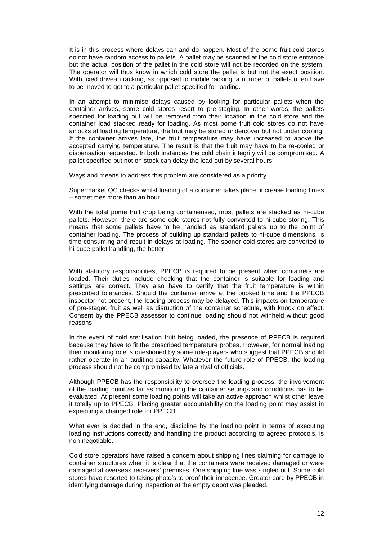It is in this process where delays can and do happen. Most of the pome fruit cold stores do not have random access to pallets. A pallet may be scanned at the cold store entrance but the actual position of the pallet in the cold store will not be recorded on the system. The operator will thus know in which cold store the pallet is but not the exact position. With fixed drive-in racking, as opposed to mobile racking, a number of pallets often have to be moved to get to a particular pallet specified for loading.

In an attempt to minimise delays caused by looking for particular pallets when the container arrives, some cold stores resort to pre-staging. In other words, the pallets specified for loading out will be removed from their location in the cold store and the container load stacked ready for loading. As most pome fruit cold stores do not have airlocks at loading temperature, the fruit may be stored undercover but not under cooling. If the container arrives late, the fruit temperature may have increased to above the accepted carrying temperature. The result is that the fruit may have to be re-cooled or dispensation requested. In both instances the cold chain integrity will be compromised. A pallet specified but not on stock can delay the load out by several hours.

Ways and means to address this problem are considered as a priority.

Supermarket QC checks whilst loading of a container takes place, increase loading times – sometimes more than an hour.

With the total pome fruit crop being containerised, most pallets are stacked as hi-cube pallets. However, there are some cold stores not fully converted to hi-cube storing. This means that some pallets have to be handled as standard pallets up to the point of container loading. The process of building up standard pallets to hi-cube dimensions, is time consuming and result in delays at loading. The sooner cold stores are converted to hi-cube pallet handling, the better.

With statutory responsibilities, PPECB is required to be present when containers are loaded. Their duties include checking that the container is suitable for loading and settings are correct. They also have to certify that the fruit temperature is within prescribed tolerances. Should the container arrive at the booked time and the PPECB inspector not present, the loading process may be delayed. This impacts on temperature of pre-staged fruit as well as disruption of the container schedule, with knock on effect. Consent by the PPECB assessor to continue loading should not withheld without good reasons.

In the event of cold sterilisation fruit being loaded, the presence of PPECB is required because they have to fit the prescribed temperature probes. However, for normal loading their monitoring role is questioned by some role-players who suggest that PPECB should rather operate in an auditing capacity. Whatever the future role of PPECB, the loading process should not be compromised by late arrival of officials.

Although PPECB has the responsibility to oversee the loading process, the involvement of the loading point as far as monitoring the container settings and conditions has to be evaluated. At present some loading points will take an active approach whilst other leave it totally up to PPECB. Placing greater accountability on the loading point may assist in expediting a changed role for PPECB.

What ever is decided in the end, discipline by the loading point in terms of executing loading instructions correctly and handling the product according to agreed protocols, is non-negotiable.

Cold store operators have raised a concern about shipping lines claiming for damage to container structures when it is clear that the containers were received damaged or were damaged at overseas receivers' premises. One shipping line was singled out. Some cold stores have resorted to taking photo's to proof their innocence. Greater care by PPECB in identifying damage during inspection at the empty depot was pleaded.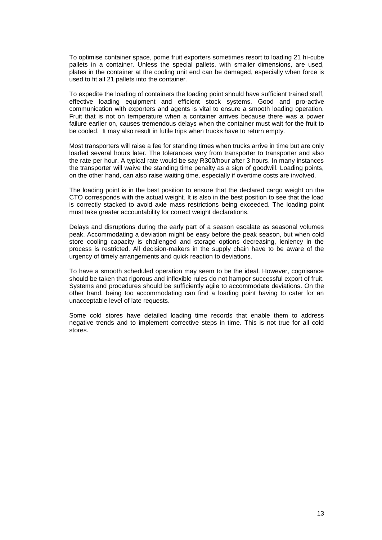To optimise container space, pome fruit exporters sometimes resort to loading 21 hi-cube pallets in a container. Unless the special pallets, with smaller dimensions, are used, plates in the container at the cooling unit end can be damaged, especially when force is used to fit all 21 pallets into the container.

To expedite the loading of containers the loading point should have sufficient trained staff, effective loading equipment and efficient stock systems. Good and pro-active communication with exporters and agents is vital to ensure a smooth loading operation. Fruit that is not on temperature when a container arrives because there was a power failure earlier on, causes tremendous delays when the container must wait for the fruit to be cooled. It may also result in futile trips when trucks have to return empty.

Most transporters will raise a fee for standing times when trucks arrive in time but are only loaded several hours later. The tolerances vary from transporter to transporter and also the rate per hour. A typical rate would be say R300/hour after 3 hours. In many instances the transporter will waive the standing time penalty as a sign of goodwill. Loading points, on the other hand, can also raise waiting time, especially if overtime costs are involved.

The loading point is in the best position to ensure that the declared cargo weight on the CTO corresponds with the actual weight. It is also in the best position to see that the load is correctly stacked to avoid axle mass restrictions being exceeded. The loading point must take greater accountability for correct weight declarations.

Delays and disruptions during the early part of a season escalate as seasonal volumes peak. Accommodating a deviation might be easy before the peak season, but when cold store cooling capacity is challenged and storage options decreasing, leniency in the process is restricted. All decision-makers in the supply chain have to be aware of the urgency of timely arrangements and quick reaction to deviations.

To have a smooth scheduled operation may seem to be the ideal. However, cognisance should be taken that rigorous and inflexible rules do not hamper successful export of fruit. Systems and procedures should be sufficiently agile to accommodate deviations. On the other hand, being too accommodating can find a loading point having to cater for an unacceptable level of late requests.

Some cold stores have detailed loading time records that enable them to address negative trends and to implement corrective steps in time. This is not true for all cold stores.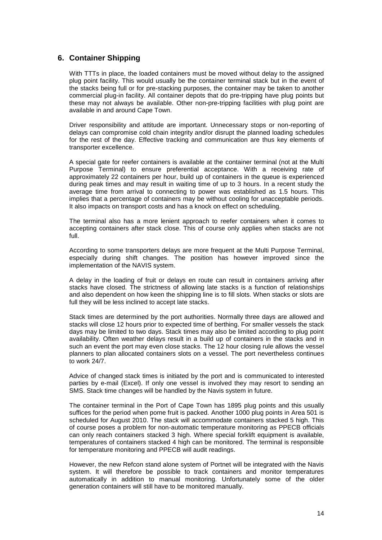### **6. Container Shipping**

With TTTs in place, the loaded containers must be moved without delay to the assigned plug point facility. This would usually be the container terminal stack but in the event of the stacks being full or for pre-stacking purposes, the container may be taken to another commercial plug-in facility. All container depots that do pre-tripping have plug points but these may not always be available. Other non-pre-tripping facilities with plug point are available in and around Cape Town.

Driver responsibility and attitude are important. Unnecessary stops or non-reporting of delays can compromise cold chain integrity and/or disrupt the planned loading schedules for the rest of the day. Effective tracking and communication are thus key elements of transporter excellence.

A special gate for reefer containers is available at the container terminal (not at the Multi Purpose Terminal) to ensure preferential acceptance. With a receiving rate of approximately 22 containers per hour, build up of containers in the queue is experienced during peak times and may result in waiting time of up to 3 hours. In a recent study the average time from arrival to connecting to power was established as 1.5 hours. This implies that a percentage of containers may be without cooling for unacceptable periods. It also impacts on transport costs and has a knock on effect on scheduling.

The terminal also has a more lenient approach to reefer containers when it comes to accepting containers after stack close. This of course only applies when stacks are not full.

According to some transporters delays are more frequent at the Multi Purpose Terminal, especially during shift changes. The position has however improved since the implementation of the NAVIS system.

A delay in the loading of fruit or delays en route can result in containers arriving after stacks have closed. The strictness of allowing late stacks is a function of relationships and also dependent on how keen the shipping line is to fill slots. When stacks or slots are full they will be less inclined to accept late stacks.

Stack times are determined by the port authorities. Normally three days are allowed and stacks will close 12 hours prior to expected time of berthing. For smaller vessels the stack days may be limited to two days. Stack times may also be limited according to plug point availability. Often weather delays result in a build up of containers in the stacks and in such an event the port may even close stacks. The 12 hour closing rule allows the vessel planners to plan allocated containers slots on a vessel. The port nevertheless continues to work 24/7.

Advice of changed stack times is initiated by the port and is communicated to interested parties by e-mail (Excel). If only one vessel is involved they may resort to sending an SMS. Stack time changes will be handled by the Navis system in future.

The container terminal in the Port of Cape Town has 1895 plug points and this usually suffices for the period when pome fruit is packed. Another 1000 plug points in Area 501 is scheduled for August 2010. The stack will accommodate containers stacked 5 high. This of course poses a problem for non-automatic temperature monitoring as PPECB officials can only reach containers stacked 3 high. Where special forklift equipment is available, temperatures of containers stacked 4 high can be monitored. The terminal is responsible for temperature monitoring and PPECB will audit readings.

However, the new Refcon stand alone system of Portnet will be integrated with the Navis system. It will therefore be possible to track containers and monitor temperatures automatically in addition to manual monitoring. Unfortunately some of the older generation containers will still have to be monitored manually.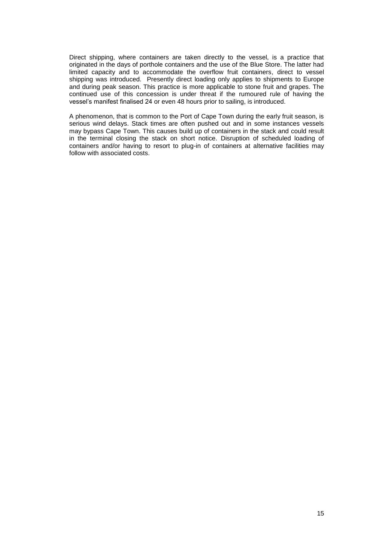Direct shipping, where containers are taken directly to the vessel, is a practice that originated in the days of porthole containers and the use of the Blue Store. The latter had limited capacity and to accommodate the overflow fruit containers, direct to vessel shipping was introduced. Presently direct loading only applies to shipments to Europe and during peak season. This practice is more applicable to stone fruit and grapes. The continued use of this concession is under threat if the rumoured rule of having the vessel's manifest finalised 24 or even 48 hours prior to sailing, is introduced.

A phenomenon, that is common to the Port of Cape Town during the early fruit season, is serious wind delays. Stack times are often pushed out and in some instances vessels may bypass Cape Town. This causes build up of containers in the stack and could result in the terminal closing the stack on short notice. Disruption of scheduled loading of containers and/or having to resort to plug-in of containers at alternative facilities may follow with associated costs.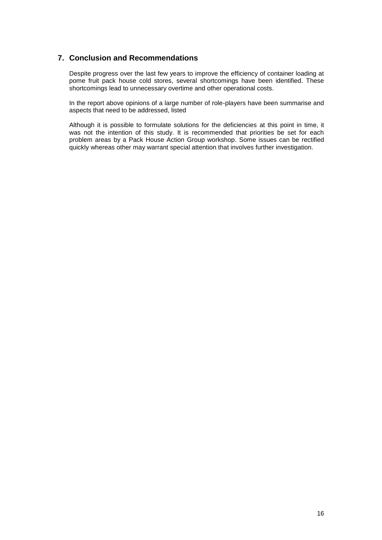### **7. Conclusion and Recommendations**

Despite progress over the last few years to improve the efficiency of container loading at pome fruit pack house cold stores, several shortcomings have been identified. These shortcomings lead to unnecessary overtime and other operational costs.

In the report above opinions of a large number of role-players have been summarise and aspects that need to be addressed, listed

Although it is possible to formulate solutions for the deficiencies at this point in time, it was not the intention of this study. It is recommended that priorities be set for each problem areas by a Pack House Action Group workshop. Some issues can be rectified quickly whereas other may warrant special attention that involves further investigation.